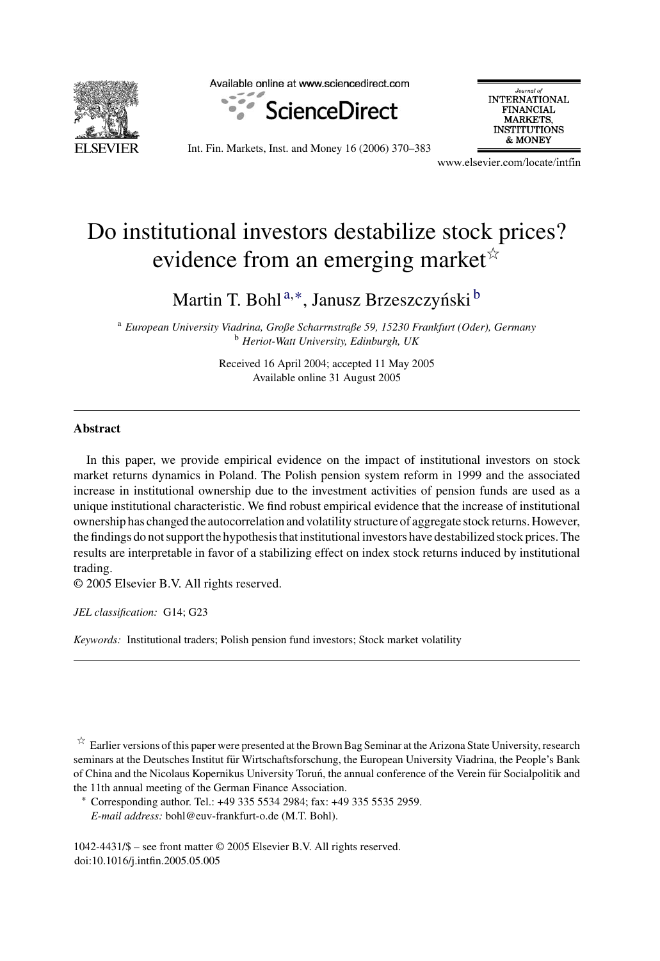

Available online at www.sciencedirect.com





Int. Fin. Markets, Inst. and Money 16 (2006) 370–383

www.elsevier.com/locate/intfin

## Do institutional investors destabilize stock prices? evidence from an emerging market $\dot{\alpha}$

Martin T. Bohl<sup>a,\*</sup>, Janusz Brzeszczyński<sup>b</sup>

<sup>a</sup> *European University Viadrina, Große Scharrnstraße 59, 15230 Frankfurt (Oder), Germany* <sup>b</sup> *Heriot-Watt University, Edinburgh, UK*

> Received 16 April 2004; accepted 11 May 2005 Available online 31 August 2005

## **Abstract**

In this paper, we provide empirical evidence on the impact of institutional investors on stock market returns dynamics in Poland. The Polish pension system reform in 1999 and the associated increase in institutional ownership due to the investment activities of pension funds are used as a unique institutional characteristic. We find robust empirical evidence that the increase of institutional ownership has changed the autocorrelation and volatility structure of aggregate stock returns. However, the findings do not support the hypothesis that institutional investors have destabilized stock prices. The results are interpretable in favor of a stabilizing effect on index stock returns induced by institutional trading.

© 2005 Elsevier B.V. All rights reserved.

*JEL classification:* G14; G23

*Keywords:* Institutional traders; Polish pension fund investors; Stock market volatility

 $\overrightarrow{a}$  Earlier versions of this paper were presented at the Brown Bag Seminar at the Arizona State University, research seminars at the Deutsches Institut für Wirtschaftsforschung, the European University Viadrina, the People's Bank of China and the Nicolaus Kopernikus University Torun, the annual conference of the Verein für Socialpolitik and the 11th annual meeting of the German Finance Association.

∗ Corresponding author. Tel.: +49 335 5534 2984; fax: +49 335 5535 2959.

*E-mail address:* bohl@euv-frankfurt-o.de (M.T. Bohl).

1042-4431/\$ – see front matter © 2005 Elsevier B.V. All rights reserved. doi:10.1016/j.intfin.2005.05.005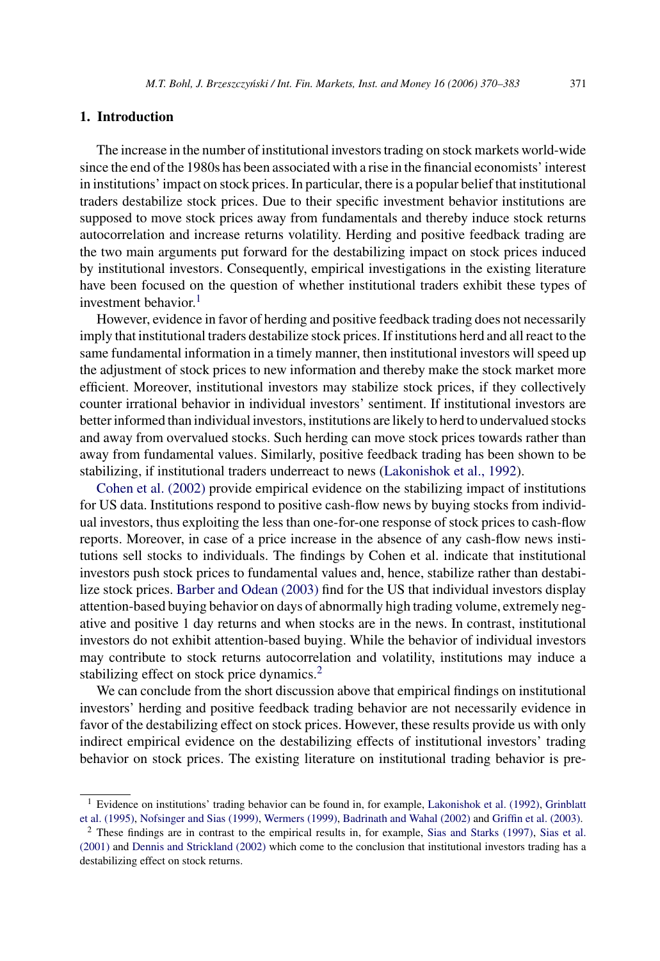## **1. Introduction**

The increase in the number of institutional investors trading on stock markets world-wide since the end of the 1980s has been associated with a rise in the financial economists' interest in institutions' impact on stock prices. In particular, there is a popular belief that institutional traders destabilize stock prices. Due to their specific investment behavior institutions are supposed to move stock prices away from fundamentals and thereby induce stock returns autocorrelation and increase returns volatility. Herding and positive feedback trading are the two main arguments put forward for the destabilizing impact on stock prices induced by institutional investors. Consequently, empirical investigations in the existing literature have been focused on the question of whether institutional traders exhibit these types of investment behavior.<sup>1</sup>

However, evidence in favor of herding and positive feedback trading does not necessarily imply that institutional traders destabilize stock prices. If institutions herd and all react to the same fundamental information in a timely manner, then institutional investors will speed up the adjustment of stock prices to new information and thereby make the stock market more efficient. Moreover, institutional investors may stabilize stock prices, if they collectively counter irrational behavior in individual investors' sentiment. If institutional investors are better informed than individual investors, institutions are likely to herd to undervalued stocks and away from overvalued stocks. Such herding can move stock prices towards rather than away from fundamental values. Similarly, positive feedback trading has been shown to be stabilizing, if institutional traders underreact to news [\(Lakonishok et al., 1992\).](#page--1-0)

[Cohen et al. \(2002\)](#page--1-0) provide empirical evidence on the stabilizing impact of institutions for US data. Institutions respond to positive cash-flow news by buying stocks from individual investors, thus exploiting the less than one-for-one response of stock prices to cash-flow reports. Moreover, in case of a price increase in the absence of any cash-flow news institutions sell stocks to individuals. The findings by Cohen et al. indicate that institutional investors push stock prices to fundamental values and, hence, stabilize rather than destabilize stock prices. [Barber and Odean \(2003\)](#page--1-0) find for the US that individual investors display attention-based buying behavior on days of abnormally high trading volume, extremely negative and positive 1 day returns and when stocks are in the news. In contrast, institutional investors do not exhibit attention-based buying. While the behavior of individual investors may contribute to stock returns autocorrelation and volatility, institutions may induce a stabilizing effect on stock price dynamics.<sup>2</sup>

We can conclude from the short discussion above that empirical findings on institutional investors' herding and positive feedback trading behavior are not necessarily evidence in favor of the destabilizing effect on stock prices. However, these results provide us with only indirect empirical evidence on the destabilizing effects of institutional investors' trading behavior on stock prices. The existing literature on institutional trading behavior is pre-

<sup>&</sup>lt;sup>1</sup> Evidence on institutions' trading behavior can be found in, for example, [Lakonishok et al. \(1992\),](#page--1-0) [Grinblatt](#page--1-0) [et al. \(1995\),](#page--1-0) [Nofsinger and Sias \(1999\),](#page--1-0) [Wermers \(1999\),](#page--1-0) [Badrinath and Wahal \(2002\)](#page--1-0) and [Griffin et al. \(2003\).](#page--1-0)

<sup>2</sup> These findings are in contrast to the empirical results in, for example, [Sias and Starks \(1997\),](#page--1-0) [Sias et al.](#page--1-0) [\(2001\)](#page--1-0) and [Dennis and Strickland \(2002\)](#page--1-0) which come to the conclusion that institutional investors trading has a destabilizing effect on stock returns.